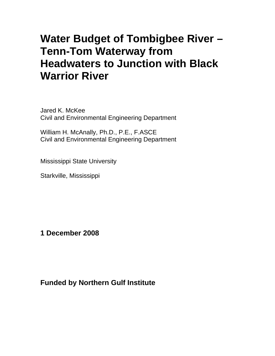# **Water Budget of Tombigbee River – Tenn-Tom Waterway from Headwaters to Junction with Black Warrior River**

Jared K. McKee Civil and Environmental Engineering Department

William H. McAnally, Ph.D., P.E., F.ASCE Civil and Environmental Engineering Department

Mississippi State University

Starkville, Mississippi

**1 December 2008** 

### **Funded by Northern Gulf Institute**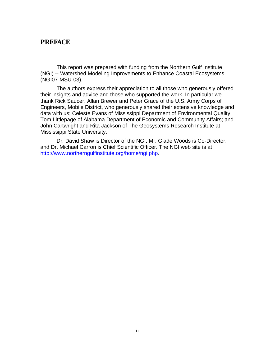### **PREFACE**

This report was prepared with funding from the Northern Gulf Institute (NGI) -- Watershed Modeling Improvements to Enhance Coastal Ecosystems (NGI07-MSU-03).

The authors express their appreciation to all those who generously offered their insights and advice and those who supported the work. In particular we thank Rick Saucer, Allan Brewer and Peter Grace of the U.S. Army Corps of Engineers, Mobile District, who generously shared their extensive knowledge and data with us; Celeste Evans of Mississippi Department of Environmental Quality, Tom Littlepage of Alabama Department of Economic and Community Affairs; and John Cartwright and Rita Jackson of The Geosystems Research Institute at Mississippi State University.

Dr. David Shaw is Director of the NGI, Mr. Glade Woods is Co-Director, and Dr. Michael Carron is Chief Scientific Officer. The NGI web site is at <http://www.northerngulfinstitute.org/home/ngi.php>.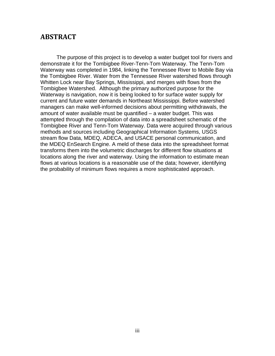### **ABSTRACT**

The purpose of this project is to develop a water budget tool for rivers and demonstrate it for the Tombigbee River-Tenn-Tom Waterway. The Tenn-Tom Waterway was completed in 1984, linking the Tennessee River to Mobile Bay via the Tombigbee River. Water from the Tennessee River watershed flows through Whitten Lock near Bay Springs, Mississippi, and merges with flows from the Tombigbee Watershed. Although the primary authorized purpose for the Waterway is navigation, now it is being looked to for surface water supply for current and future water demands in Northeast Mississippi. Before watershed managers can make well-informed decisions about permitting withdrawals, the amount of water available must be quantified – a water budget. This was attempted through the compilation of data into a spreadsheet schematic of the Tombigbee River and Tenn-Tom Waterway. Data were acquired through various methods and sources including Geographical Information Systems, USGS stream flow Data, MDEQ, ADECA, and USACE personal communication, and the MDEQ EnSearch Engine. A meld of these data into the spreadsheet format transforms them into the volumetric discharges for different flow situations at locations along the river and waterway. Using the information to estimate mean flows at various locations is a reasonable use of the data; however, identifying the probability of minimum flows requires a more sophisticated approach.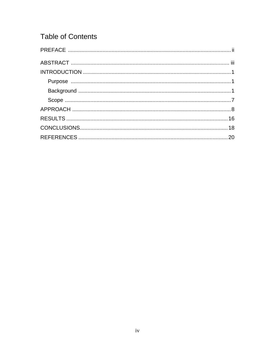# **Table of Contents**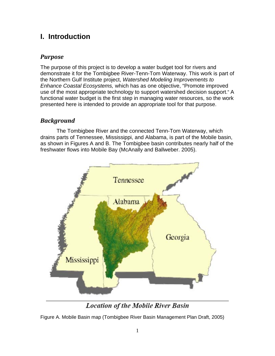# **I. Introduction**

### *Purpose*

The purpose of this project is to develop a water budget tool for rivers and demonstrate it for the Tombigbee River-Tenn-Tom Waterway. This work is part of the Northern Gulf Institute project, *Watershed Modeling Improvements to Enhance Coastal Ecosystems,* which has as one objective, "Promote improved use of the most appropriate technology to support watershed decision support." A functional water budget is the first step in managing water resources, so the work presented here is intended to provide an appropriate tool for that purpose.

### *Background*

The Tombigbee River and the connected Tenn-Tom Waterway, which drains parts of Tennessee, Mississippi, and Alabama, is part of the Mobile basin, as shown in Figures A and B. The Tombigbee basin contributes nearly half of the freshwater flows into Mobile Bay (McAnally and Ballweber. 2005).



**Location of the Mobile River Basin** 

Figure A. Mobile Basin map (Tombigbee River Basin Management Plan Draft, 2005)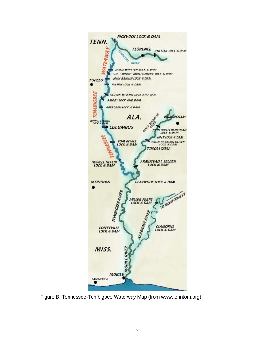

Figure B. Tennessee-Tombigbee Waterway Map (from www.tenntom.org)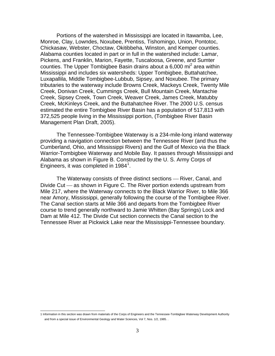Portions of the watershed in Mississippi are located in Itawamba, Lee, Monroe, Clay, Lowndes, Noxubee, Prentiss, Tishomingo, Union, Pontotoc, Chickasaw, Webster, Choctaw, Okitibbeha, Winston, and Kemper counties. Alabama counties located in part or in full in the watershed include: Lamar, Pickens, and Franklin, Marion, Fayette, Tuscaloosa, Greene, and Sumter counties. The Upper Tombigbee Basin drains about a 6,000 mi<sup>2</sup> area within Mississippi and includes six watersheds: Upper Tombigbee, Buttahatchee, Luxapallila, Middle Tombigbee-Lubbub, Sipsey, and Noxubee. The primary tributaries to the waterway include Browns Creek, Mackeys Creek, Twenty Mile Creek, Donivan Creek, Cummings Creek, Bull Mountain Creek, Mantachie Creek, Sipsey Creek, Town Creek, Weaver Creek, James Creek, Matubby Creek, McKinleys Creek, and the Buttahatchee River. The 2000 U.S. census estimated the entire Tombigbee River Basin has a population of 517,813 with 372,525 people living in the Mississippi portion, (Tombigbee River Basin Management Plan Draft, 2005).

 The Tennessee-Tombigbee Waterway is a 234-mile-long inland waterway providing a navigation connection between the Tennessee River (and thus the Cumberland, Ohio, and Mississippi Rivers) and the Gulf of Mexico via the Black Warrior-Tombigbee Waterway and Mobile Bay. It passes through Mississippi and Alabama as shown in Figure B. Constructed by the U. S. Army Corps of Engineers, it was completed in [1](#page-6-0)984<sup>1</sup>.

The Waterway consists of three distinct sections – River, Canal, and Divide Cut — as shown in Figure C. The River portion extends upstream from Mile 217, where the Waterway connects to the Black Warrior River, to Mile 366 near Amory, Mississippi, generally following the course of the Tombigbee River. The Canal section starts at Mile 366 and departs from the Tombigbee River course to trend generally northward to Jamie Whitten (Bay Springs) Lock and Dam at Mile 412. The Divide Cut section connects the Canal section to the Tennessee River at Pickwick Lake near the Mississippi-Tennessee boundary.

<span id="page-6-0"></span> 1 Information in this section was drawn from materials of the Corps of Engineers and the Tennessee-Tombigbee Waterway Development Authority and from a special issue of Environmental Geology and Water Sciences, Vol 7, Nos. 1/2, 1985. .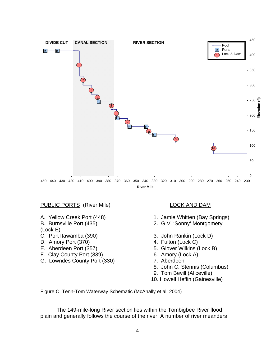

### PUBLIC PORTS (River Mile) LOCK AND DAM

- 
- 
- (Lock E)
- 
- D. Amory Port (370) 4. Fulton (Lock C)
- 
- F. Clay County Port (339) 6. Amory (Lock A)
- G. Lowndes County Port (330) 7. Aberdeen

- A. Yellow Creek Port (448) 1. Jamie Whitten (Bay Springs)
- B. Burnsville Port (435) 2. G.V. 'Sonny' Montgomery
- C. Port Itawamba (390) 3. John Rankin (Lock D)
	-
- E. Aberdeen Port (357) 5. Glover Wilkins (Lock B)
	-
	-
	- 8. John C. Stennis (Columbus)
	- 9. Tom Bevill (Aliceville)
	- 10. Howell Heflin (Gainesville)

Figure C. Tenn-Tom Waterway Schematic (McAnally et al. 2004)

The 149-mile-long River section lies within the Tombigbee River flood plain and generally follows the course of the river. A number of river meanders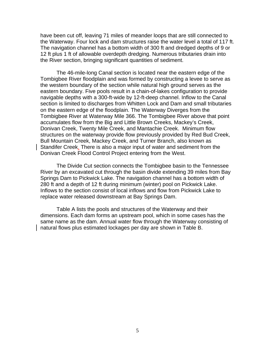have been cut off, leaving 71 miles of meander loops that are still connected to the Waterway. Four lock and dam structures raise the water level a total of 117 ft. The navigation channel has a bottom width of 300 ft and dredged depths of 9 or 12 ft plus 1 ft of allowable overdepth dredging. Numerous tributaries drain into the River section, bringing significant quantities of sediment.

The 46-mile-long Canal section is located near the eastern edge of the Tombigbee River floodplain and was formed by constructing a levee to serve as the western boundary of the section while natural high ground serves as the eastern boundary. Five pools result in a chain-of-lakes configuration to provide navigable depths with a 300-ft-wide by 12-ft-deep channel. Inflow to the Canal section is limited to discharges from Whitten Lock and Dam and small tributaries on the eastern edge of the floodplain. The Waterway Diverges from the Tombigbee River at Waterway Mile 366. The Tombigbee River above that point accumulates flow from the Big and Little Brown Creeks, Mackey's Creek, Donivan Creek, Twenty Mile Creek, and Mantachie Creek. Minimum flow structures on the waterway provide flow previously provided by Red Bud Creek, Bull Mountain Creek, Mackey Creek, and Turner Branch, also known as Standifer Creek. There is also a major input of water and sediment from the Donivan Creek Flood Control Project entering from the West.

The Divide Cut section connects the Tombigbee basin to the Tennessee River by an excavated cut through the basin divide extending 39 miles from Bay Springs Dam to Pickwick Lake. The navigation channel has a bottom width of 280 ft and a depth of 12 ft during minimum (winter) pool on Pickwick Lake. Inflows to the section consist of local inflows and flow from Pickwick Lake to replace water released downstream at Bay Springs Dam.

Table A lists the pools and structures of the Waterway and their dimensions. Each dam forms an upstream pool, which in some cases has the same name as the dam. Annual water flow through the Waterway consisting of natural flows plus estimated lockages per day are shown in Table B.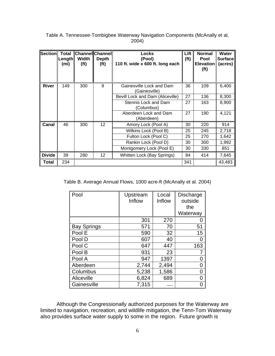| Section Total | Length<br>(mi) | <b>Channel Channel</b><br>Width<br>(f <sup>t</sup> ) | <b>Depth</b><br>(f <sup>t</sup> ) | Locks<br>(Pool)<br>110 ft. wide x 600 ft. long each | Lift<br>(f <sup>t</sup> ) | <b>Normal</b><br>Pool<br>Elevation<br>(f <sup>t</sup> ) | Water<br><b>Surface</b><br>(acres) |
|---------------|----------------|------------------------------------------------------|-----------------------------------|-----------------------------------------------------|---------------------------|---------------------------------------------------------|------------------------------------|
| <b>River</b>  | 149            | 300                                                  | 9                                 | Gainesville Lock and Dam<br>(Gainesville)           | 36                        | 109                                                     | 6,400                              |
|               |                |                                                      |                                   | Bevill Lock and Dam (Aliceville)                    | 27                        | 136                                                     | 8,300                              |
|               |                |                                                      |                                   | Stennis Lock and Dam<br>(Columbus)                  | 27                        | 163                                                     | 8,900                              |
|               |                |                                                      |                                   | Aberdeen Lock and Dam<br>(Aberdeen)                 | 27                        | 190                                                     | 4,121                              |
| Canal         | 46             | 300                                                  | 12                                | Amory Lock (Pool A)                                 | 30                        | 220                                                     | 914                                |
|               |                |                                                      |                                   | Wilkins Lock (Pool B)                               | 25                        | 245                                                     | 2,718                              |
|               |                |                                                      |                                   | Fulton Lock (Pool C)                                | 25                        | 270                                                     | 1,642                              |
|               |                |                                                      |                                   | Rankin Lock (Pool D)                                | 30                        | 300                                                     | 1,992                              |
|               |                |                                                      |                                   | Montgomery Lock (Pool E)                            | 30                        | 330                                                     | 851                                |
| <b>Divide</b> | 39             | 280                                                  | 12                                | Whitten Lock (Bay Springs)                          | 84                        | 414                                                     | 7,645                              |
| Total         | 234            |                                                      |                                   |                                                     | 341                       |                                                         | 43,483                             |

### Table A. Tennessee-Tombigbee Waterway Navigation Components (McAnally et al, 2004)

Table B. Average Annual Flows, 1000 acre-ft (McAnally et al. 2004)

| Pool               | Upstream<br>Inflow | Local<br>Inflow | <b>Discharge</b><br>outside |
|--------------------|--------------------|-----------------|-----------------------------|
|                    |                    |                 | the                         |
|                    |                    |                 | Waterway                    |
|                    | 301                | 270             | 0                           |
| <b>Bay Springs</b> | 571                | 70              | 51                          |
| Pool E             | 590                | 32              | 15                          |
| Pool D             | 607                | 40              | 0                           |
| Pool C             | 647                | 447             | 163                         |
| Pool B             | 931                | 23              |                             |
| Pool A             | 947                | 1397            | 0                           |
| Aberdeen           | 2,744              | 2,494           | 0                           |
| Columbus           | 5,238              | 1,586           | 0                           |
| Aliceville         | 6,824              | 689             | 0                           |
| Gainesville        | 7,315              |                 | Ω                           |

Although the Congressionally authorized purposes for the Waterway are limited to navigation, recreation, and wildlife mitigation, the Tenn-Tom Waterway also provides surface water supply to some in the region. Future growth is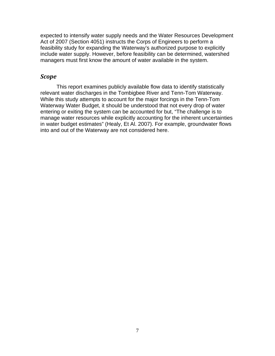expected to intensify water supply needs and the Water Resources Development Act of 2007 (Section 4051) instructs the Corps of Engineers to perform a feasibility study for expanding the Waterway's authorized purpose to explicitly include water supply. However, before feasibility can be determined, watershed managers must first know the amount of water available in the system.

### *Scope*

This report examines publicly available flow data to identify statistically relevant water discharges in the Tombigbee River and Tenn-Tom Waterway. While this study attempts to account for the major forcings in the Tenn-Tom Waterway Water Budget, it should be understood that not every drop of water entering or exiting the system can be accounted for but, "The challenge is to manage water resources while explicitly accounting for the inherent uncertainties in water budget estimates" (Healy, Et Al. 2007). For example, groundwater flows into and out of the Waterway are not considered here.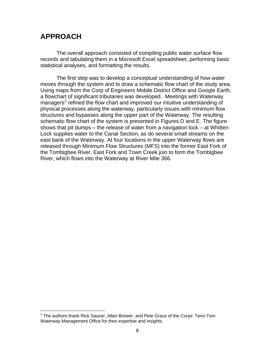## **APPROACH**

 The overall approach consisted of compiling public water surface flow records and tabulating them in a Microsoft Excel spreadsheet, performing basic statistical analyses, and formatting the results.

 The first step was to develop a conceptual understanding of how water moves through the system and to draw a schematic flow chart of the study area. Using maps from the Corp of Engineers Mobile District Office and Google Earth, a flowchart of significant tributaries was developed. Meetings with Waterway managers<sup>[2](#page-11-0)</sup> refined the flow chart and improved our intuitive understanding of physical processes along the waterway, particularly issues with minimum flow structures and bypasses along the upper part of the Waterway. The resulting schematic flow chart of the system is presented in Figures D and E. The figure shows that pit dumps – the release of water from a navigation lock – at Whitten Lock supplies water to the Canal Section, as do several small streams on the east bank of the Waterway. At four locations in the upper Waterway flows are released through Minimum Flow Structures (MFS) into the former East Fork of the Tombigbee River. East Fork and Town Creek join to form the Tombigbee River, which flows into the Waterway at River Mile 366.

<span id="page-11-0"></span> 2 The authors thank Rick Saucer, Allan Brewer, and Pete Grace of the Corps' Tenn-Tom Waterway Management Office for their expertise and insights.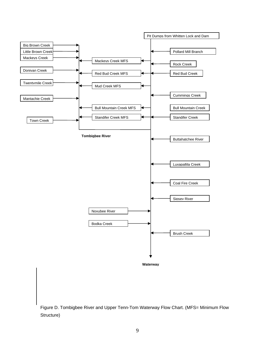

Figure D. Tombigbee River and Upper Tenn-Tom Waterway Flow Chart. (MFS= Minimum Flow Structure)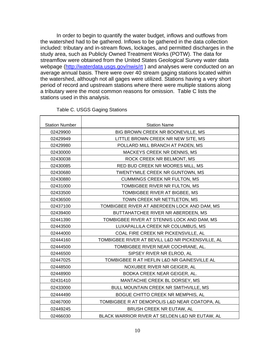In order to begin to quantify the water budget, inflows and outflows from the watershed had to be gathered. Inflows to be gathered in the data collection included: tributary and in-stream flows, lockages, and permitted discharges in the study area, such as Publicly Owned Treatment Works (POTW). The data for streamflow were obtained from the United States Geological Survey water data webpage (<http://waterdata.usgs.gov/nwis/rt>) and analyses were conducted on an average annual basis. There were over 40 stream gaging stations located within the watershed, although not all gages were utilized. Stations having a very short period of record and upstream stations where there were multiple stations along a tributary were the most common reasons for omission. Table C lists the stations used in this analysis.

| <b>Station Number</b> | <b>Station Name</b>                               |  |
|-----------------------|---------------------------------------------------|--|
| 02429900              | BIG BROWN CREEK NR BOONEVILLE, MS                 |  |
| 02429949              | LITTLE BROWN CREEK NR NEW SITE, MS                |  |
| 02429980              | POLLARD MILL BRANCH AT PADEN, MS                  |  |
| 02430000              | MACKEYS CREEK NR DENNIS, MS                       |  |
| 02430038              | ROCK CREEK NR BELMONT, MS                         |  |
| 02430085              | RED BUD CREEK NR MOORES MILL, MS                  |  |
| 02430680              | TWENTYMILE CREEK NR GUNTOWN, MS                   |  |
| 02430880              | <b>CUMMINGS CREEK NR FULTON, MS</b>               |  |
| 02431000              | TOMBIGBEE RIVER NR FULTON, MS                     |  |
| 02433500              | TOMBIGBEE RIVER AT BIGBEE, MS                     |  |
| 02436500              | TOWN CREEK NR NETTLETON, MS                       |  |
| 02437100              | TOMBIGBEE RIVER AT ABERDEEN LOCK AND DAM, MS      |  |
| 02439400              | BUTTAHATCHEE RIVER NR ABERDEEN, MS                |  |
| 02441390              | TOMBIGBEE RIVER AT STENNIS LOCK AND DAM, MS       |  |
| 02443500              | LUXAPALLILA CREEK NR COLUMBUS, MS                 |  |
| 02444000              | COAL FIRE CREEK NR PICKENSVILLE, AL               |  |
| 02444160              | TOMBIGBEE RIVER AT BEVILL L&D NR PICKENSVILLE, AL |  |
| 02444500              | TOMBIGBEE RIVER NEAR COCHRANE, AL.                |  |
| 02446500              | SIPSEY RIVER NR ELROD, AL                         |  |
| 02447025              | TOMBIGBEE R AT HEFLIN L&D NR GAINESVILLE AL       |  |
| 02448500              | NOXUBEE RIVER NR GEIGER, AL                       |  |
| 02448900              | BODKA CREEK NEAR GEIGER, AL.                      |  |
| 02431410              | MANTACHIE CREEK BL DORSEY, MS                     |  |
| 02433000              | BULL MOUNTAIN CREEK NR SMITHVILLE, MS             |  |
| 02444490              | BOGUE CHITTO CREEK NR MEMPHIS, AL                 |  |
| 02467000              | TOMBIGBEE R AT DEMOPOLIS L&D NEAR COATOPA, AL     |  |
| 02449245              | BRUSH CREEK NR EUTAW, AL                          |  |
| 02466030              | BLACK WARRIOR RIVER AT SELDEN L&D NR EUTAW, AL    |  |

### Table C. USGS Gaging Stations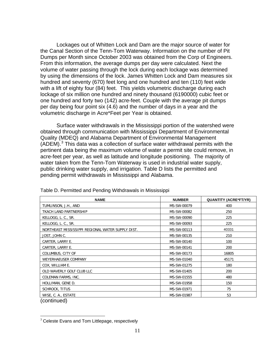Lockages out of Whitten Lock and Dam are the major source of water for the Canal Section of the Tenn-Tom Waterway. Information on the number of Pit Dumps per Month since October 2003 was obtained from the Corp of Engineers. From this information, the average dumps per day were calculated. Next the volume of water passing through the lock during each lockage was determined by using the dimensions of the lock. James Whitten Lock and Dam measures six hundred and seventy (670) feet long and one hundred and ten (110) feet wide with a lift of eighty four (84) feet. This yields volumetric discharge during each lockage of six million one hundred and ninety thousand (6190000) cubic feet or one hundred and forty two (142) acre-feet. Couple with the average pit dumps per day being four point six (4.6) and the number of days in a year and the volumetric discharge in Acre\*Feet per Year is obtained.

Surface water withdrawals in the Mississippi portion of the watershed were obtained through communication with Mississippi Department of Environmental Quality (MDEQ) and Alabama Department of Environmental Management  $(ADEM).<sup>3</sup>$  $(ADEM).<sup>3</sup>$  $(ADEM).<sup>3</sup>$  This data was a collection of surface water withdrawal permits with the pertinent data being the maximum volume of water a permit site could remove, in acre-feet per year, as well as latitude and longitude positioning. The majority of water taken from the Tenn-Tom Waterway is used in industrial water supply, public drinking water supply, and irrigation. Table D lists the permitted and pending permit withdrawals in Mississippi and Alabama.

| <b>NAME</b>                                       | <b>NUMBER</b> | <b>QUANTITY (ACRE*FT/YR)</b> |
|---------------------------------------------------|---------------|------------------------------|
| TUMLINSON, J.H., AND                              | MS-SW-00079   | 400                          |
| TKACH LAND PARTNERSHIP                            | MS-SW-00082   | 250                          |
| KELLOGG, L. C., SR.                               | MS-SW-00090   | 225                          |
| KELLOGG, L. C., SR.                               | MS-SW-00093   | 225                          |
| NORTHEAST MISSISSIPPI REGIONAL WATER SUPPLY DIST. | MS-SW-00113   | 40331                        |
| JOST, JOHN C.                                     | MS-SW-00135   | 210                          |
| CARTER, LARRY E.                                  | MS-SW-00140   | 100                          |
| CARTER, LARRY E.                                  | MS-SW-00141   | 200                          |
| COLUMBUS, CITY OF                                 | MS-SW-00173   | 16805                        |
| WEYERHAEUSER COMPANY                              | MS-SW-01040   | 45171                        |
| COX, WILLIAM E.                                   | MS-SW-01275   | 180                          |
| OLD WAVERLY GOLF CLUB LLC                         | MS-SW-01405   | 200                          |
| COLEMAN FARMS, INC.                               | MS-SW-01555   | 480                          |
| HOLLIMAN, GENE D.                                 | MS-SW-01958   | 150                          |
| SCHROCK, TITUS                                    | MS-SW-01971   | 75                           |
| WISE, C. A., ESTATE                               | MS-SW-01987   | 53                           |
| (continued)                                       |               |                              |

Table D. Permitted and Pending Withdrawals in Mississippi

 $\overline{a}$ 

<span id="page-14-0"></span> $3$  Celeste Evans and Tom Littlepage, respectively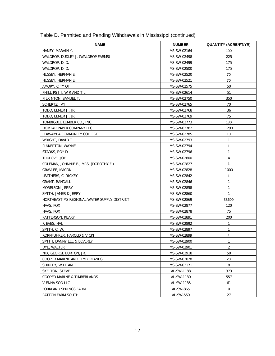| <b>NAME</b>                                 | <b>NUMBER</b> | <b>QUANTITY (ACRE*FT/YR)</b> |
|---------------------------------------------|---------------|------------------------------|
| HANEY, MARVIN Y.                            | MS-SW-02164   | 100                          |
| WALDROP, DUDLEY J. (WALDROP FARMS)          | MS-SW-02498   | 225                          |
| WALDROP, D. D.                              | MS-SW-02499   | 175                          |
| WALDROP, D. D.                              | MS-SW-02500   | 175                          |
| HUSSEY, HERMAN E.                           | MS-SW-02520   | 70                           |
| HUSSEY, HERMAN E.                           | MS-SW-02521   | 70                           |
| AMORY, CITY OF                              | MS-SW-02575   | 50                           |
| PHILLIPS III, W R AND T L                   | MS-SW-02614   | 51                           |
| PILKINTON, SAMUEL T.                        | MS-SW-02750   | 350                          |
| SCHERTZ, JAY                                | MS-SW-02765   | 70                           |
| TODD, ELMER J., JR.                         | MS-SW-02768   | 36                           |
| TODD, ELMER J., JR.                         | MS-SW-02769   | 75                           |
| TOMBIGBEE LUMBER CO., INC.                  | MS-SW-02773   | 130                          |
| DOMTAR PAPER COMPANY LLC                    | MS-SW-02782   | 1290                         |
| ITAWAMBA COMMUNITY COLLEGE                  | MS-SW-02785   | 10                           |
| WRIGHT, DAVID T.                            | MS-SW-02793   | 1                            |
| PINKERTON, WAYNE                            | MS-SW-02794   | $\mathbf{1}$                 |
| STARKS, ROY D.                              | MS-SW-02796   | 1                            |
| TRULOVE, JOE                                | MS-SW-02800   | 4                            |
| COLEMAN, JOHNNIE B., MRS. (DOROTHY F.)      | MS-SW-02827   | 1                            |
| GRAVLEE, MACON                              | MS-SW-02828   | 1000                         |
| LEATHERS, C. RICKEY                         | MS-SW-02842   | 1                            |
| <b>GRANT, RANDALL</b>                       | MS-SW-02846   | 1                            |
| MORRISON, JERRY                             | MS-SW-02858   | 1                            |
| SMITH, JAMES & JERRY                        | MS-SW-02860   | 1                            |
| NORTHEAST MS REGIONAL WATER SUPPLY DISTRICT | MS-SW-02869   | 33609                        |
| HAAS, FOX                                   | MS-SW-02877   | 120                          |
| HAAS, FOX                                   | MS-SW-02878   | 75                           |
| PATTERSON, KEARY                            | MS-SW-02891   | 200                          |
| RIEVES, HAL                                 | MS-SW-02892   | 1                            |
| SMITH, C. W.                                | MS-SW-02897   | 1                            |
| KORNFUHRER, HAROLD & VICKI                  | MS-SW-02899   | 1                            |
| SMITH, DANNY LEE & BEVERLY                  | MS-SW-02900   | 1                            |
| DYE, WALTER                                 | MS-SW-02901   | $\overline{2}$               |
| NIX, GEORGE BURTON, JR.                     | MS-SW-02918   | 50                           |
| COOPER MARINE AND TIMBERLANDS               | MS-SW-03028   | 20                           |
| SHIRLEY, WILLIAM T                          | MS-SW-03171   | 8                            |
| SKELTON, STEVE                              | AL-SW-1188    | 373                          |
| COOPER MARINE & TIMBERLANDS                 | AL-SW-1180    | 557                          |
| VIENNA SOD LLC                              | AL-SW-1185    | 61                           |
| FORKLAND SPRINGS FARM                       | AL-SW-865     | $\mathsf{O}$                 |
| PATTON FARM SOUTH                           | AL-SW-550     | 27                           |

Table D. Permitted and Pending Withdrawals in Mississippi (continued)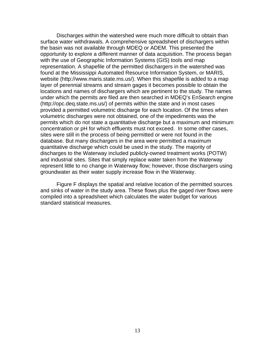Discharges within the watershed were much more difficult to obtain than surface water withdrawals. A comprehensive spreadsheet of dischargers within the basin was not available through MDEQ or ADEM. This presented the opportunity to explore a different manner of data acquisition. The process began with the use of Geographic Information Systems (GIS) tools and map representation. A shapefile of the permitted dischargers in the watershed was found at the Mississippi Automated Resource Information System, or MARIS, website (http://www.maris.state.ms.us/). When this shapefile is added to a map layer of perennial streams and stream gages it becomes possible to obtain the locations and names of dischargers which are pertinent to the study. The names under which the permits are filed are then searched in MDEQ's EnSearch engine (http://opc.deq.state.ms.us/) of permits within the state and in most cases provided a permitted volumetric discharge for each location. Of the times when volumetric discharges were not obtained, one of the impediments was the permits which do not state a quantitative discharge but a maximum and minimum concentration or pH for which effluents must not exceed. In some other cases, sites were still in the process of being permitted or were not found in the database. But many dischargers in the area were permitted a maximum quantitative discharge which could be used in the study. The majority of discharges to the Waterway included publicly-owned treatment works (POTW) and industrial sites. Sites that simply replace water taken from the Waterway represent little to no change in Waterway flow; however, those dischargers using groundwater as their water supply increase flow in the Waterway.

Figure F displays the spatial and relative location of the permitted sources and sinks of water in the study area. These flows plus the gaged river flows were compiled into a spreadsheet which calculates the water budget for various standard statistical measures.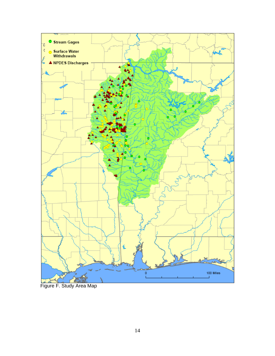

Figure F. Study Area Map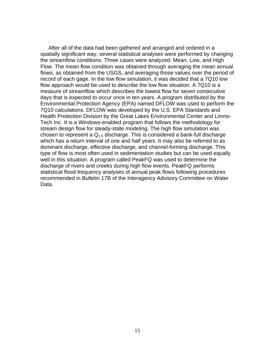After all of the data had been gathered and arranged and ordered in a spatially significant way, several statistical analyses were performed by changing the streamflow conditions. Three cases were analyzed: Mean, Low, and High Flow. The mean flow condition was obtained through averaging the mean annual flows, as obtained from the USGS, and averaging those values over the period of record of each gage. In the low flow simulation, it was decided that a 7Q10 low flow approach would be used to describe the low flow situation. A 7Q10 is a measure of streamflow which describes the lowest flow for seven consecutive days that is expected to occur once in ten years. A program distributed by the Environmental Protection Agency (EPA) named DFLOW was used to perform the 7Q10 calculations. DFLOW was developed by the U.S. EPA Standards and Health Protection Division by the Great Lakes Environmental Center and Limno-Tech Inc. It is a Windows-enabled program that follows the methodology for stream design flow for steady-state modeling. The high flow simulation was chosen to represent a  $Q_{1.5}$  discharge. This is considered a bank-full discharge which has a return interval of one and half years. It may also be referred to as dominant discharge, effective discharge, and channel-forming discharge. This type of flow is most often used in sedimentation studies but can be used equally well in this situation. A program called PeakFQ was used to determine the discharge of rivers and creeks during high flow events. PeakFQ performs statistical flood-frequency analyses of annual peak flows following procedures recommended in Bulletin 17B of the Interagency Advisory Committee on Water Data.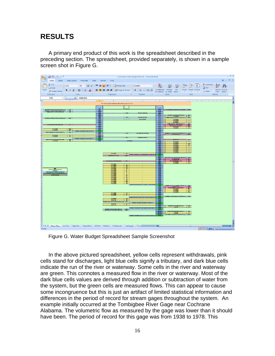# **RESULTS**

A primary end product of this work is the spreadsheet described in the preceding section. The spreadsheet, provided separately, is shown in a sample screen shot in Figure G.



Figure G. Water Budget Spreadsheet Sample Screenshot

In the above pictured spreadsheet, yellow cells represent withdrawals, pink cells stand for discharges, light blue cells signify a tributary, and dark blue cells indicate the run of the river or waterway. Some cells in the river and waterway are green. This connotes a measured flow in the river or waterway. Most of the dark blue cells values are derived through addition or subtraction of water from the system, but the green cells are measured flows. This can appear to cause some incongruence but this is just an artifact of limited statistical information and differences in the period of record for stream gages throughout the system. An example initially occurred at the Tombigbee River Gage near Cochrane Alabama. The volumetric flow as measured by the gage was lower than it should have been. The period of record for this gage was from 1938 to 1978. This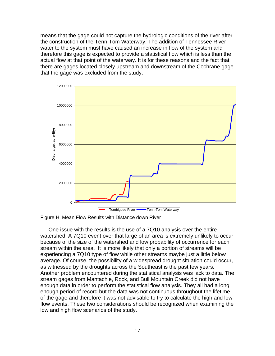means that the gage could not capture the hydrologic conditions of the river after the construction of the Tenn-Tom Waterway. The addition of Tennessee River water to the system must have caused an increase in flow of the system and therefore this gage is expected to provide a statistical flow which is less than the actual flow at that point of the waterway. It is for these reasons and the fact that there are gages located closely upstream and downstream of the Cochrane gage that the gage was excluded from the study.



Figure H. Mean Flow Results with Distance down River

One issue with the results is the use of a 7Q10 analysis over the entire watershed. A 7Q10 event over that large of an area is extremely unlikely to occur because of the size of the watershed and low probability of occurrence for each stream within the area. It is more likely that only a portion of streams will be experiencing a 7Q10 type of flow while other streams maybe just a little below average. Of course, the possibility of a widespread drought situation could occur, as witnessed by the droughts across the Southeast is the past few years. Another problem encountered during the statistical analysis was lack to data. The stream gages from Mantachie, Rock, and Bull Mountain Creek did not have enough data in order to perform the statistical flow analysis. They all had a long enough period of record but the data was not continuous throughout the lifetime of the gage and therefore it was not advisable to try to calculate the high and low flow events. These two considerations should be recognized when examining the low and high flow scenarios of the study.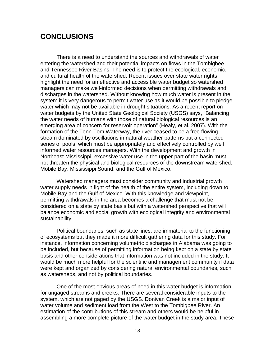### **CONCLUSIONS**

There is a need to understand the sources and withdrawals of water entering the watershed and their potential impacts on flows in the Tombigbee and Tennessee River Basins. The need is to protect the ecological, economic, and cultural health of the watershed. Recent issues over state water rights highlight the need for an effective and accessible water budget so watershed managers can make well-informed decisions when permitting withdrawals and discharges in the watershed. Without knowing how much water is present in the system it is very dangerous to permit water use as it would be possible to pledge water which may not be available in drought situations. As a recent report on water budgets by the United State Geological Society (USGS) says, "Balancing the water needs of humans with those of natural biological resources is an emerging area of concern for reservoir operation" (Healy, et al. 2007). With the formation of the Tenn-Tom Waterway, the river ceased to be a free flowing stream dominated by oscillations in natural weather patterns but a connected series of pools, which must be appropriately and effectively controlled by well informed water resources managers. With the development and growth in Northeast Mississippi, excessive water use in the upper part of the basin must not threaten the physical and biological resources of the downstream watershed, Mobile Bay, Mississippi Sound, and the Gulf of Mexico.

Watershed managers must consider community and industrial growth water supply needs in light of the health of the entire system, including down to Mobile Bay and the Gulf of Mexico. With this knowledge and viewpoint, permitting withdrawals in the area becomes a challenge that must not be considered on a state by state basis but with a watershed perspective that will balance economic and social growth with ecological integrity and environmental sustainability.

Political boundaries, such as state lines, are immaterial to the functioning of ecosystems but they made it more difficult gathering data for this study. For instance, information concerning volumetric discharges in Alabama was going to be included, but because of permitting information being kept on a state by state basis and other considerations that information was not included in the study. It would be much more helpful for the scientific and management community if data were kept and organized by considering natural environmental boundaries, such as watersheds, and not by political boundaries.

One of the most obvious areas of need in this water budget is information for ungaged streams and creeks. There are several considerable inputs to the system, which are not gaged by the USGS. Donivan Creek is a major input of water volume and sediment load from the West to the Tombigbee River. An estimation of the contributions of this stream and others would be helpful in assembling a more complete picture of the water budget in the study area. These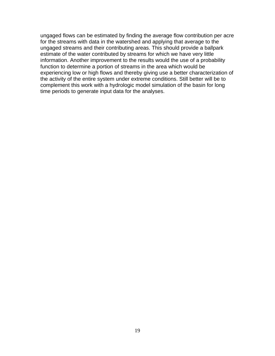ungaged flows can be estimated by finding the average flow contribution per acre for the streams with data in the watershed and applying that average to the ungaged streams and their contributing areas. This should provide a ballpark estimate of the water contributed by streams for which we have very little information. Another improvement to the results would the use of a probability function to determine a portion of streams in the area which would be experiencing low or high flows and thereby giving use a better characterization of the activity of the entire system under extreme conditions. Still better will be to complement this work with a hydrologic model simulation of the basin for long time periods to generate input data for the analyses.